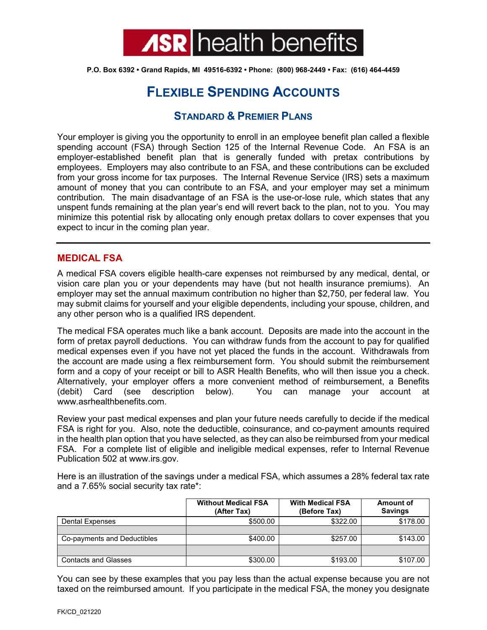

**P.O. Box 6392 • Grand Rapids, MI 49516-6392 • Phone: (800) 968-2449 • Fax: (616) 464-4459**

# **FLEXIBLE SPENDING ACCOUNTS**

## **STANDARD & PREMIER PLANS**

Your employer is giving you the opportunity to enroll in an employee benefit plan called a flexible spending account (FSA) through Section 125 of the Internal Revenue Code. An FSA is an employer-established benefit plan that is generally funded with pretax contributions by employees. Employers may also contribute to an FSA, and these contributions can be excluded from your gross income for tax purposes. The Internal Revenue Service (IRS) sets a maximum amount of money that you can contribute to an FSA, and your employer may set a minimum contribution. The main disadvantage of an FSA is the use-or-lose rule, which states that any unspent funds remaining at the plan year's end will revert back to the plan, not to you. You may minimize this potential risk by allocating only enough pretax dollars to cover expenses that you expect to incur in the coming plan year.

## **MEDICAL FSA**

A medical FSA covers eligible health-care expenses not reimbursed by any medical, dental, or vision care plan you or your dependents may have (but not health insurance premiums). An employer may set the annual maximum contribution no higher than \$2,750, per federal law. You may submit claims for yourself and your eligible dependents, including your spouse, children, and any other person who is a qualified IRS dependent.

The medical FSA operates much like a bank account. Deposits are made into the account in the form of pretax payroll deductions. You can withdraw funds from the account to pay for qualified medical expenses even if you have not yet placed the funds in the account. Withdrawals from the account are made using a flex reimbursement form. You should submit the reimbursement form and a copy of your receipt or bill to ASR Health Benefits, who will then issue you a check. Alternatively, your employer offers a more convenient method of reimbursement, a Benefits (debit) Card (see description below). You can manage your account at www.asrhealthbenefits.com.

Review your past medical expenses and plan your future needs carefully to decide if the medical FSA is right for you. Also, note the deductible, coinsurance, and co-payment amounts required in the health plan option that you have selected, as they can also be reimbursed from your medical FSA. For a complete list of eligible and ineligible medical expenses, refer to Internal Revenue Publication 502 at www.irs.gov.

Here is an illustration of the savings under a medical FSA, which assumes a 28% federal tax rate and a 7.65% social security tax rate\*:

|                             | <b>Without Medical FSA</b><br>(After Tax) | <b>With Medical FSA</b><br>(Before Tax) | <b>Amount of</b><br><b>Savings</b> |
|-----------------------------|-------------------------------------------|-----------------------------------------|------------------------------------|
| <b>Dental Expenses</b>      | \$500.00                                  | \$322.00                                | \$178.00                           |
|                             |                                           |                                         |                                    |
| Co-payments and Deductibles | \$400.00                                  | \$257.00                                | \$143.00                           |
|                             |                                           |                                         |                                    |
| <b>Contacts and Glasses</b> | \$300.00                                  | \$193.00                                | \$107.00                           |

You can see by these examples that you pay less than the actual expense because you are not taxed on the reimbursed amount. If you participate in the medical FSA, the money you designate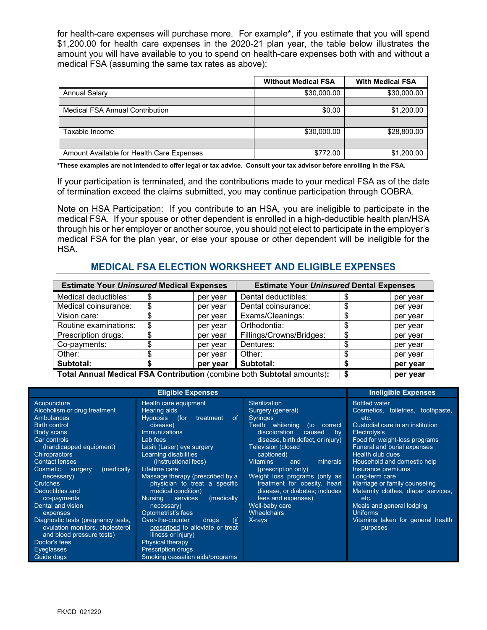for health-care expenses will purchase more. For example\*, if you estimate that you will spend \$1,200.00 for health care expenses in the 2020-21 plan year, the table below illustrates the amount you will have available to you to spend on health-care expenses both with and without a medical FSA (assuming the same tax rates as above):

|                                           | <b>Without Medical FSA</b> | <b>With Medical FSA</b> |
|-------------------------------------------|----------------------------|-------------------------|
| <b>Annual Salary</b>                      | \$30,000.00                | \$30,000.00             |
|                                           |                            |                         |
| <b>Medical FSA Annual Contribution</b>    | \$0.00                     | \$1,200.00              |
|                                           |                            |                         |
| Taxable Income                            | \$30,000.00                | \$28,800.00             |
|                                           |                            |                         |
| Amount Available for Health Care Expenses | \$772.00                   | \$1,200.00              |

**\*These examples are not intended to offer legal or tax advice. Consult your tax advisor before enrolling in the FSA.**

If your participation is terminated, and the contributions made to your medical FSA as of the date of termination exceed the claims submitted, you may continue participation through COBRA.

Note on HSA Participation: If you contribute to an HSA, you are ineligible to participate in the medical FSA. If your spouse or other dependent is enrolled in a high-deductible health plan/HSA through his or her employer or another source, you should not elect to participate in the employer's medical FSA for the plan year, or else your spouse or other dependent will be ineligible for the HSA.

## **MEDICAL FSA ELECTION WORKSHEET AND ELIGIBLE EXPENSES**

| <b>Estimate Your Uninsured Medical Expenses</b>                        |    | <b>Estimate Your Uninsured Dental Expenses</b> |                          |          |          |
|------------------------------------------------------------------------|----|------------------------------------------------|--------------------------|----------|----------|
| Medical deductibles:                                                   | \$ | per year                                       | Dental deductibles:      |          | per year |
| Medical coinsurance:                                                   | S  | per year                                       | Dental coinsurance:      |          | per year |
| Vision care:                                                           |    | per year                                       | Exams/Cleanings:         |          | per year |
| Routine examinations:                                                  |    | per year                                       | Orthodontia:             |          | per year |
| Prescription drugs:                                                    |    | per year                                       | Fillings/Crowns/Bridges: |          | per year |
| Co-payments:                                                           |    | per year                                       | Dentures:                |          | per year |
| Other:                                                                 |    | per year                                       | Other:                   |          | per year |
| Subtotal:                                                              |    | per year                                       | Subtotal:                |          | per year |
| Total Annual Medical FSA Contribution (combine both Subtotal amounts): |    |                                                |                          | per year |          |

|                                                                                                                                                                                                                                                                                                                                                                                                                                                                                         | <b>Ineligible Expenses</b>                                                                                                                                                                                                                                                                                                                                                                                                                                                                                                                                                                |                                                                                                                                                                                                                                                                                                                                                                                                                                                     |                                                                                                                                                                                                                                                                                                                                                                                                                                                                                  |
|-----------------------------------------------------------------------------------------------------------------------------------------------------------------------------------------------------------------------------------------------------------------------------------------------------------------------------------------------------------------------------------------------------------------------------------------------------------------------------------------|-------------------------------------------------------------------------------------------------------------------------------------------------------------------------------------------------------------------------------------------------------------------------------------------------------------------------------------------------------------------------------------------------------------------------------------------------------------------------------------------------------------------------------------------------------------------------------------------|-----------------------------------------------------------------------------------------------------------------------------------------------------------------------------------------------------------------------------------------------------------------------------------------------------------------------------------------------------------------------------------------------------------------------------------------------------|----------------------------------------------------------------------------------------------------------------------------------------------------------------------------------------------------------------------------------------------------------------------------------------------------------------------------------------------------------------------------------------------------------------------------------------------------------------------------------|
| Acupuncture<br>Alcoholism or drug treatment<br><b>Ambulances</b><br><b>Birth control</b><br>Body scans<br>Car controls<br>(handicapped equipment)<br><b>Chiropractors</b><br><b>Contact lenses</b><br>Cosmetic<br>(medically<br>surgery<br>necessary)<br><b>Crutches</b><br>Deductibles and<br>co-payments<br>Dental and vision<br>expenses<br>Diagnostic tests (pregnancy tests,<br>ovulation monitors, cholesterol<br>and blood pressure tests)<br>Doctor's fees<br><b>Eveglasses</b> | <b>Eligible Expenses</b><br>Health care equipment<br>Hearing aids<br><b>Hypnosis</b><br>(for<br>treatment<br>of.<br>disease)<br><b>Immunizations</b><br>Lab fees<br>Lasik (Laser) eye surgery<br>Learning disabilities<br>(instructional fees)<br>Lifetime care<br>Massage therapy (prescribed by a<br>physician to treat a specific<br>medical condition)<br>services<br>(medically<br><b>Nursing</b><br>necessary)<br>Optometrist's fees<br>Over-the-counter<br>(i)<br>drugs<br>prescribed to alleviate or treat<br>illness or injury)<br>Physical therapy<br><b>Prescription drugs</b> | Sterilization<br>Surgery (general)<br><b>Syringes</b><br>Teeth whitening<br>(to<br>correct<br>discoloration<br>caused<br>by<br>disease, birth defect, or injury)<br><b>Television (closed</b><br>captioned)<br><b>Vitamins</b><br>minerals<br>and<br>(prescription only)<br>Weight loss programs (only as<br>treatment for obesity, heart<br>disease, or diabetes; includes<br>fees and expenses)<br>Well-baby care<br><b>Wheelchairs</b><br>X-rays | <b>Bottled water</b><br>Cosmetics, toiletries, toothpaste,<br>etc.<br>Custodial care in an institution<br><b>Electrolysis</b><br>Food for weight-loss programs<br><b>Funeral and burial expenses</b><br>Health club dues<br>Household and domestic help<br>Insurance premiums<br>Long-term care<br>Marriage or family counseling<br>Maternity clothes, diaper services,<br>etc.<br>Meals and general lodging<br><b>Uniforms</b><br>Vitamins taken for general health<br>purposes |
| Guide dogs                                                                                                                                                                                                                                                                                                                                                                                                                                                                              | Smoking cessation aids/programs                                                                                                                                                                                                                                                                                                                                                                                                                                                                                                                                                           |                                                                                                                                                                                                                                                                                                                                                                                                                                                     |                                                                                                                                                                                                                                                                                                                                                                                                                                                                                  |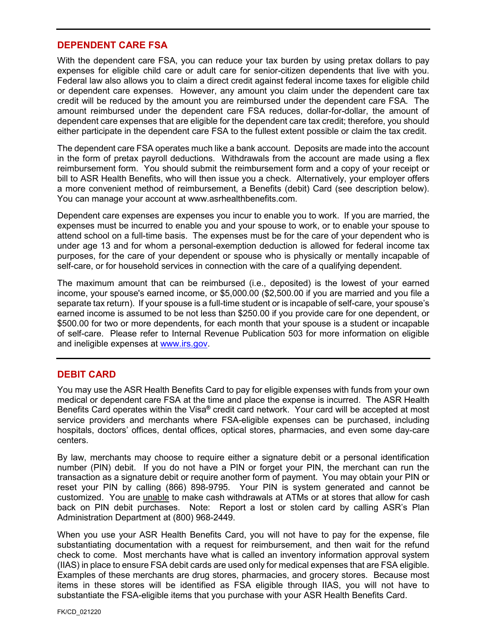#### **DEPENDENT CARE FSA**

With the dependent care FSA, you can reduce your tax burden by using pretax dollars to pay expenses for eligible child care or adult care for senior-citizen dependents that live with you. Federal law also allows you to claim a direct credit against federal income taxes for eligible child or dependent care expenses. However, any amount you claim under the dependent care tax credit will be reduced by the amount you are reimbursed under the dependent care FSA. The amount reimbursed under the dependent care FSA reduces, dollar-for-dollar, the amount of dependent care expenses that are eligible for the dependent care tax credit; therefore, you should either participate in the dependent care FSA to the fullest extent possible or claim the tax credit.

The dependent care FSA operates much like a bank account. Deposits are made into the account in the form of pretax payroll deductions. Withdrawals from the account are made using a flex reimbursement form. You should submit the reimbursement form and a copy of your receipt or bill to ASR Health Benefits, who will then issue you a check. Alternatively, your employer offers a more convenient method of reimbursement, a Benefits (debit) Card (see description below). You can manage your account at www.asrhealthbenefits.com.

Dependent care expenses are expenses you incur to enable you to work. If you are married, the expenses must be incurred to enable you and your spouse to work, or to enable your spouse to attend school on a full-time basis. The expenses must be for the care of your dependent who is under age 13 and for whom a personal-exemption deduction is allowed for federal income tax purposes, for the care of your dependent or spouse who is physically or mentally incapable of self-care, or for household services in connection with the care of a qualifying dependent.

The maximum amount that can be reimbursed (i.e., deposited) is the lowest of your earned income, your spouse's earned income, or \$5,000.00 (\$2,500.00 if you are married and you file a separate tax return). If your spouse is a full-time student or is incapable of self-care, your spouse's earned income is assumed to be not less than \$250.00 if you provide care for one dependent, or \$500.00 for two or more dependents, for each month that your spouse is a student or incapable of self-care. Please refer to Internal Revenue Publication 503 for more information on eligible and ineligible expenses at [www.irs.gov.](http://www.irs.gov/)

## **DEBIT CARD**

You may use the ASR Health Benefits Card to pay for eligible expenses with funds from your own medical or dependent care FSA at the time and place the expense is incurred. The ASR Health Benefits Card operates within the Visa**®** credit card network. Your card will be accepted at most service providers and merchants where FSA-eligible expenses can be purchased, including hospitals, doctors' offices, dental offices, optical stores, pharmacies, and even some day-care centers.

By law, merchants may choose to require either a signature debit or a personal identification number (PIN) debit. If you do not have a PIN or forget your PIN, the merchant can run the transaction as a signature debit or require another form of payment. You may obtain your PIN or reset your PIN by calling (866) 898-9795. Your PIN is system generated and cannot be customized. You are unable to make cash withdrawals at ATMs or at stores that allow for cash back on PIN debit purchases. Note: Report a lost or stolen card by calling ASR's Plan Administration Department at (800) 968-2449.

When you use your ASR Health Benefits Card, you will not have to pay for the expense, file substantiating documentation with a request for reimbursement, and then wait for the refund check to come. Most merchants have what is called an inventory information approval system (IIAS) in place to ensure FSA debit cards are used only for medical expenses that are FSA eligible. Examples of these merchants are drug stores, pharmacies, and grocery stores. Because most items in these stores will be identified as FSA eligible through IIAS, you will not have to substantiate the FSA-eligible items that you purchase with your ASR Health Benefits Card.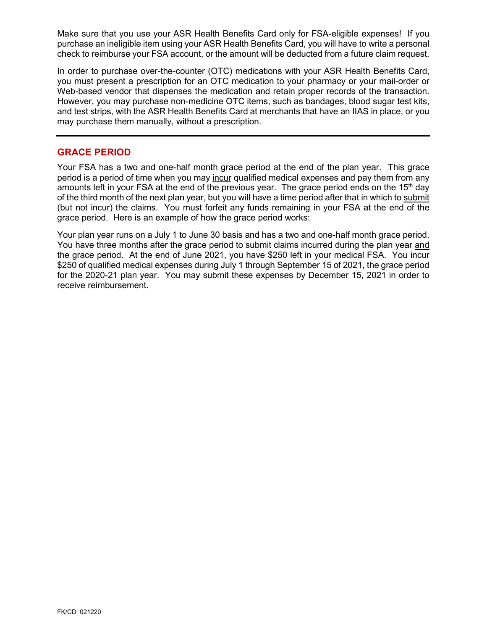Make sure that you use your ASR Health Benefits Card only for FSA-eligible expenses! If you purchase an ineligible item using your ASR Health Benefits Card, you will have to write a personal check to reimburse your FSA account, or the amount will be deducted from a future claim request.

In order to purchase over-the-counter (OTC) medications with your ASR Health Benefits Card, you must present a prescription for an OTC medication to your pharmacy or your mail-order or Web-based vendor that dispenses the medication and retain proper records of the transaction. However, you may purchase non-medicine OTC items, such as bandages, blood sugar test kits, and test strips, with the ASR Health Benefits Card at merchants that have an IIAS in place, or you may purchase them manually, without a prescription.

## **GRACE PERIOD**

Your FSA has a two and one-half month grace period at the end of the plan year. This grace period is a period of time when you may incur qualified medical expenses and pay them from any amounts left in your FSA at the end of the previous year. The grace period ends on the 15<sup>th</sup> day of the third month of the next plan year, but you will have a time period after that in which to submit (but not incur) the claims. You must forfeit any funds remaining in your FSA at the end of the grace period. Here is an example of how the grace period works:

Your plan year runs on a July 1 to June 30 basis and has a two and one-half month grace period. You have three months after the grace period to submit claims incurred during the plan year and the grace period. At the end of June 2021, you have \$250 left in your medical FSA. You incur \$250 of qualified medical expenses during July 1 through September 15 of 2021, the grace period for the 2020-21 plan year. You may submit these expenses by December 15, 2021 in order to receive reimbursement.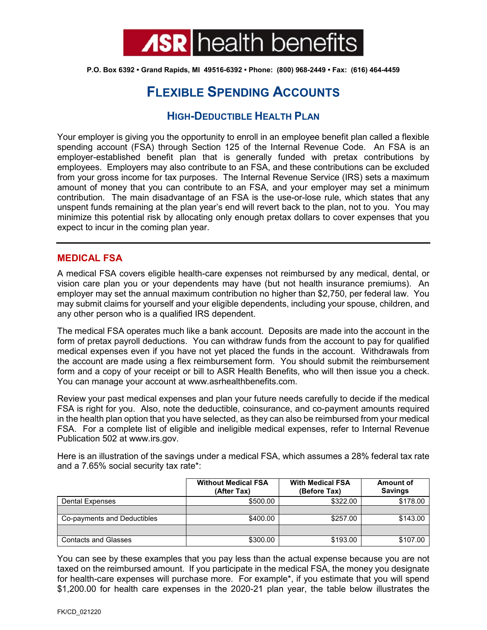

**P.O. Box 6392 • Grand Rapids, MI 49516-6392 • Phone: (800) 968-2449 • Fax: (616) 464-4459**

# **FLEXIBLE SPENDING ACCOUNTS**

# **HIGH-DEDUCTIBLE HEALTH PLAN**

Your employer is giving you the opportunity to enroll in an employee benefit plan called a flexible spending account (FSA) through Section 125 of the Internal Revenue Code. An FSA is an employer-established benefit plan that is generally funded with pretax contributions by employees. Employers may also contribute to an FSA, and these contributions can be excluded from your gross income for tax purposes. The Internal Revenue Service (IRS) sets a maximum amount of money that you can contribute to an FSA, and your employer may set a minimum contribution. The main disadvantage of an FSA is the use-or-lose rule, which states that any unspent funds remaining at the plan year's end will revert back to the plan, not to you. You may minimize this potential risk by allocating only enough pretax dollars to cover expenses that you expect to incur in the coming plan year.

## **MEDICAL FSA**

A medical FSA covers eligible health-care expenses not reimbursed by any medical, dental, or vision care plan you or your dependents may have (but not health insurance premiums). An employer may set the annual maximum contribution no higher than \$2,750, per federal law. You may submit claims for yourself and your eligible dependents, including your spouse, children, and any other person who is a qualified IRS dependent.

The medical FSA operates much like a bank account. Deposits are made into the account in the form of pretax payroll deductions. You can withdraw funds from the account to pay for qualified medical expenses even if you have not yet placed the funds in the account. Withdrawals from the account are made using a flex reimbursement form. You should submit the reimbursement form and a copy of your receipt or bill to ASR Health Benefits, who will then issue you a check. You can manage your account at www.asrhealthbenefits.com.

Review your past medical expenses and plan your future needs carefully to decide if the medical FSA is right for you. Also, note the deductible, coinsurance, and co-payment amounts required in the health plan option that you have selected, as they can also be reimbursed from your medical FSA. For a complete list of eligible and ineligible medical expenses, refer to Internal Revenue Publication 502 at www.irs.gov.

Here is an illustration of the savings under a medical FSA, which assumes a 28% federal tax rate and a 7.65% social security tax rate\*:

|                             | <b>Without Medical FSA</b><br>(After Tax) | <b>With Medical FSA</b><br>(Before Tax) | <b>Amount of</b><br><b>Savings</b> |
|-----------------------------|-------------------------------------------|-----------------------------------------|------------------------------------|
| <b>Dental Expenses</b>      | \$500.00                                  | \$322.00                                | \$178.00                           |
|                             |                                           |                                         |                                    |
| Co-payments and Deductibles | \$400.00                                  | \$257.00                                | \$143.00                           |
|                             |                                           |                                         |                                    |
| <b>Contacts and Glasses</b> | \$300.00                                  | \$193.00                                | \$107.00                           |

You can see by these examples that you pay less than the actual expense because you are not taxed on the reimbursed amount. If you participate in the medical FSA, the money you designate for health-care expenses will purchase more. For example\*, if you estimate that you will spend \$1,200.00 for health care expenses in the 2020-21 plan year, the table below illustrates the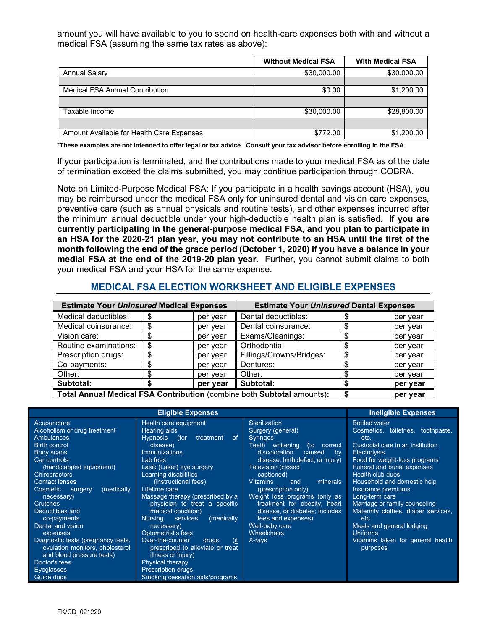amount you will have available to you to spend on health-care expenses both with and without a medical FSA (assuming the same tax rates as above):

|                                           | <b>Without Medical FSA</b> | <b>With Medical FSA</b> |
|-------------------------------------------|----------------------------|-------------------------|
| <b>Annual Salary</b>                      | \$30,000.00                | \$30,000.00             |
|                                           |                            |                         |
| <b>Medical FSA Annual Contribution</b>    | \$0.00                     | \$1,200.00              |
|                                           |                            |                         |
| Taxable Income                            | \$30,000.00                | \$28,800.00             |
|                                           |                            |                         |
| Amount Available for Health Care Expenses | \$772.00                   | \$1,200.00              |

**\*These examples are not intended to offer legal or tax advice. Consult your tax advisor before enrolling in the FSA.**

If your participation is terminated, and the contributions made to your medical FSA as of the date of termination exceed the claims submitted, you may continue participation through COBRA.

Note on Limited-Purpose Medical FSA: If you participate in a health savings account (HSA), you may be reimbursed under the medical FSA only for uninsured dental and vision care expenses, preventive care (such as annual physicals and routine tests), and other expenses incurred after the minimum annual deductible under your high-deductible health plan is satisfied. **If you are currently participating in the general-purpose medical FSA, and you plan to participate in an HSA for the 2020-21 plan year, you may not contribute to an HSA until the first of the month following the end of the grace period (October 1, 2020) if you have a balance in your medial FSA at the end of the 2019-20 plan year.** Further, you cannot submit claims to both your medical FSA and your HSA for the same expense.

#### **MEDICAL FSA ELECTION WORKSHEET AND ELIGIBLE EXPENSES**

| <b>Estimate Your Uninsured Medical Expenses</b>                        |    | <b>Estimate Your Uninsured Dental Expenses</b> |                          |          |          |
|------------------------------------------------------------------------|----|------------------------------------------------|--------------------------|----------|----------|
| Medical deductibles:                                                   | S  | per year                                       | Dental deductibles:      |          | per year |
| Medical coinsurance:                                                   | \$ | per year                                       | Dental coinsurance:      |          | per year |
| Vision care:                                                           |    | per year                                       | Exams/Cleanings:         |          | per year |
| Routine examinations:                                                  | \$ | per year                                       | Orthodontia:             |          | per year |
| Prescription drugs:                                                    | ß. | per year                                       | Fillings/Crowns/Bridges: |          | per year |
| Co-payments:                                                           |    | per year                                       | Dentures:                |          | per year |
| Other:                                                                 |    | per year                                       | Other:                   |          | per year |
| Subtotal:                                                              |    | per year                                       | Subtotal:                |          | per year |
| Total Annual Medical FSA Contribution (combine both Subtotal amounts): |    |                                                |                          | per year |          |

|                                                                                                                                                                                                                                                                                                                                             | <b>Ineligible Expenses</b>                                                                                                                                                                                                                                                                                                                                                                                     |                                                                                                                                                                                                                                                                                                                                                                                                                                                  |                                                                                                                                                                                                                                                                                                                                                                                                                                 |
|---------------------------------------------------------------------------------------------------------------------------------------------------------------------------------------------------------------------------------------------------------------------------------------------------------------------------------------------|----------------------------------------------------------------------------------------------------------------------------------------------------------------------------------------------------------------------------------------------------------------------------------------------------------------------------------------------------------------------------------------------------------------|--------------------------------------------------------------------------------------------------------------------------------------------------------------------------------------------------------------------------------------------------------------------------------------------------------------------------------------------------------------------------------------------------------------------------------------------------|---------------------------------------------------------------------------------------------------------------------------------------------------------------------------------------------------------------------------------------------------------------------------------------------------------------------------------------------------------------------------------------------------------------------------------|
| Acupuncture<br>Alcoholism or drug treatment<br><b>Ambulances</b><br><b>Birth control</b><br>Body scans<br>Car controls<br>(handicapped equipment)<br><b>Chiropractors</b><br><b>Contact lenses</b><br>(medically<br>Cosmetic<br>surgery<br>necessary)<br><b>Crutches</b><br>Deductibles and<br>co-payments<br>Dental and vision<br>expenses | Health care equipment<br>Hearing aids<br><b>Hypnosis</b><br>(for<br>treatment<br>of.<br>disease)<br><b>Immunizations</b><br>Lab fees<br>Lasik (Laser) eye surgery<br>Learning disabilities<br>(instructional fees)<br>Lifetime care<br>Massage therapy (prescribed by a<br>physician to treat a specific<br>medical condition)<br>(medically<br><b>Nursing</b><br>services<br>necessary)<br>Optometrist's fees | <b>Sterilization</b><br>Surgery (general)<br><b>Syringes</b><br>Teeth whitenina<br>(to<br>correct<br>discoloration<br>caused<br>bv<br>disease, birth defect, or injury)<br><b>Television (closed</b><br>captioned)<br><b>Vitamins</b><br>minerals<br>and<br>(prescription only)<br>Weight loss programs (only as<br>treatment for obesity, heart<br>disease, or diabetes; includes<br>fees and expenses)<br>Well-baby care<br><b>Wheelchairs</b> | <b>Bottled</b> water<br>Cosmetics, toiletries, toothpaste,<br>etc.<br>Custodial care in an institution<br><b>Electrolysis</b><br>Food for weight-loss programs<br>Funeral and burial expenses<br>Health club dues<br><b>Household and domestic help</b><br>Insurance premiums<br>Long-term care<br>Marriage or family counseling<br>Maternity clothes, diaper services,<br>etc.<br>Meals and general lodging<br><b>Uniforms</b> |
| Diagnostic tests (pregnancy tests,<br>ovulation monitors, cholesterol<br>and blood pressure tests)<br>Doctor's fees<br>Eyeglasses<br>Guide dogs                                                                                                                                                                                             | $($ if<br>Over-the-counter<br>drugs<br>prescribed to alleviate or treat<br>illness or injury)<br><b>Physical therapy</b><br><b>Prescription drugs</b><br>Smoking cessation aids/programs                                                                                                                                                                                                                       | X-rays                                                                                                                                                                                                                                                                                                                                                                                                                                           | Vitamins taken for general health<br>purposes                                                                                                                                                                                                                                                                                                                                                                                   |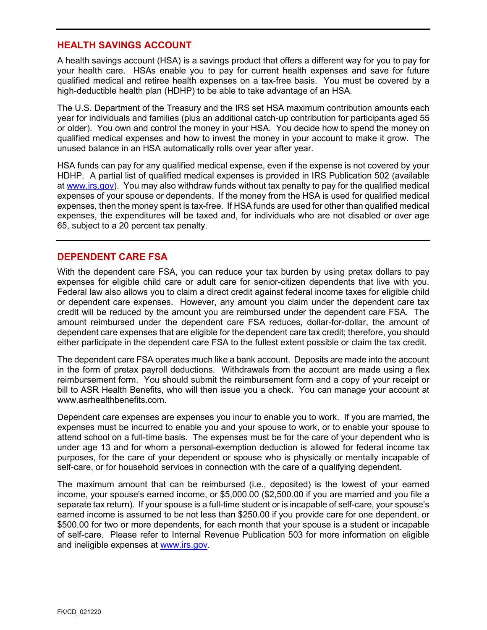## **HEALTH SAVINGS ACCOUNT**

A health savings account (HSA) is a savings product that offers a different way for you to pay for your health care. HSAs enable you to pay for current health expenses and save for future qualified medical and retiree health expenses on a tax-free basis. You must be covered by a high-deductible health plan (HDHP) to be able to take advantage of an HSA.

The U.S. Department of the Treasury and the IRS set HSA maximum contribution amounts each year for individuals and families (plus an additional catch-up contribution for participants aged 55 or older). You own and control the money in your HSA. You decide how to spend the money on qualified medical expenses and how to invest the money in your account to make it grow. The unused balance in an HSA automatically rolls over year after year.

HSA funds can pay for any qualified medical expense, even if the expense is not covered by your HDHP. A partial list of qualified medical expenses is provided in IRS Publication 502 (available at [www.irs.gov\)](http://www.irs.gov/). You may also withdraw funds without tax penalty to pay for the qualified medical expenses of your spouse or dependents. If the money from the HSA is used for qualified medical expenses, then the money spent is tax-free. If HSA funds are used for other than qualified medical expenses, the expenditures will be taxed and, for individuals who are not disabled or over age 65, subject to a 20 percent tax penalty.

## **DEPENDENT CARE FSA**

With the dependent care FSA, you can reduce your tax burden by using pretax dollars to pay expenses for eligible child care or adult care for senior-citizen dependents that live with you. Federal law also allows you to claim a direct credit against federal income taxes for eligible child or dependent care expenses. However, any amount you claim under the dependent care tax credit will be reduced by the amount you are reimbursed under the dependent care FSA. The amount reimbursed under the dependent care FSA reduces, dollar-for-dollar, the amount of dependent care expenses that are eligible for the dependent care tax credit; therefore, you should either participate in the dependent care FSA to the fullest extent possible or claim the tax credit.

The dependent care FSA operates much like a bank account. Deposits are made into the account in the form of pretax payroll deductions. Withdrawals from the account are made using a flex reimbursement form. You should submit the reimbursement form and a copy of your receipt or bill to ASR Health Benefits, who will then issue you a check. You can manage your account at www.asrhealthbenefits.com

Dependent care expenses are expenses you incur to enable you to work. If you are married, the expenses must be incurred to enable you and your spouse to work, or to enable your spouse to attend school on a full-time basis. The expenses must be for the care of your dependent who is under age 13 and for whom a personal-exemption deduction is allowed for federal income tax purposes, for the care of your dependent or spouse who is physically or mentally incapable of self-care, or for household services in connection with the care of a qualifying dependent.

The maximum amount that can be reimbursed (i.e., deposited) is the lowest of your earned income, your spouse's earned income, or \$5,000.00 (\$2,500.00 if you are married and you file a separate tax return). If your spouse is a full-time student or is incapable of self-care, your spouse's earned income is assumed to be not less than \$250.00 if you provide care for one dependent, or \$500.00 for two or more dependents, for each month that your spouse is a student or incapable of self-care. Please refer to Internal Revenue Publication 503 for more information on eligible and ineligible expenses at [www.irs.gov.](http://www.irs.gov/)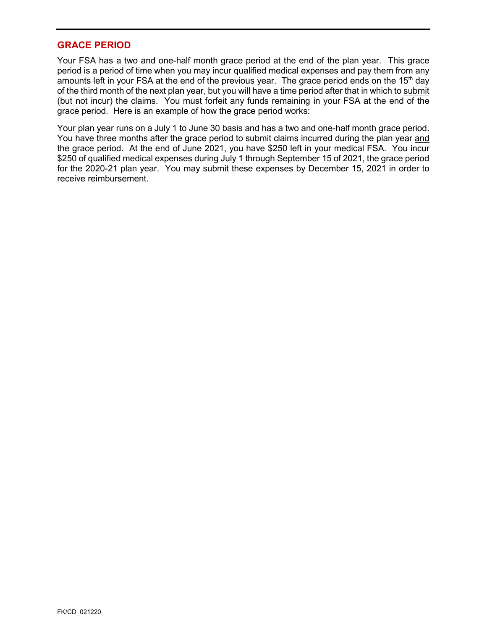#### **GRACE PERIOD**

Your FSA has a two and one-half month grace period at the end of the plan year. This grace period is a period of time when you may incur qualified medical expenses and pay them from any amounts left in your FSA at the end of the previous year. The grace period ends on the 15<sup>th</sup> day of the third month of the next plan year, but you will have a time period after that in which to submit (but not incur) the claims. You must forfeit any funds remaining in your FSA at the end of the grace period. Here is an example of how the grace period works:

Your plan year runs on a July 1 to June 30 basis and has a two and one-half month grace period. You have three months after the grace period to submit claims incurred during the plan year and the grace period. At the end of June 2021, you have \$250 left in your medical FSA. You incur \$250 of qualified medical expenses during July 1 through September 15 of 2021, the grace period for the 2020-21 plan year. You may submit these expenses by December 15, 2021 in order to receive reimbursement.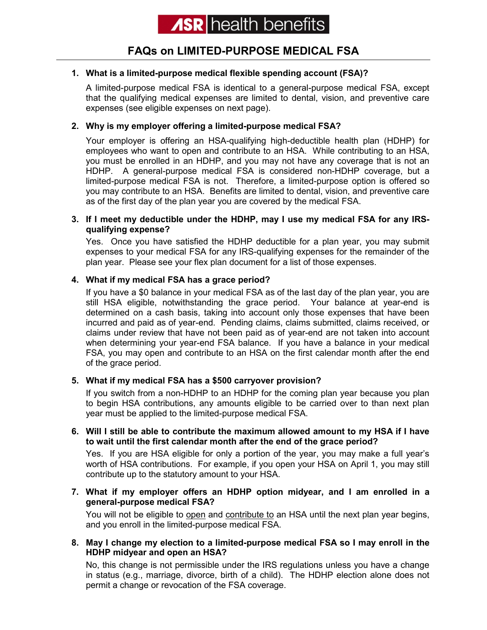# **FAQs on LIMITED-PURPOSE MEDICAL FSA**

## **1. What is a limited-purpose medical flexible spending account (FSA)?**

A limited-purpose medical FSA is identical to a general-purpose medical FSA, except that the qualifying medical expenses are limited to dental, vision, and preventive care expenses (see eligible expenses on next page).

#### **2. Why is my employer offering a limited-purpose medical FSA?**

Your employer is offering an HSA-qualifying high-deductible health plan (HDHP) for employees who want to open and contribute to an HSA. While contributing to an HSA, you must be enrolled in an HDHP, and you may not have any coverage that is not an HDHP. A general-purpose medical FSA is considered non-HDHP coverage, but a limited-purpose medical FSA is not. Therefore, a limited-purpose option is offered so you may contribute to an HSA. Benefits are limited to dental, vision, and preventive care as of the first day of the plan year you are covered by the medical FSA.

#### **3. If I meet my deductible under the HDHP, may I use my medical FSA for any IRSqualifying expense?**

Yes. Once you have satisfied the HDHP deductible for a plan year, you may submit expenses to your medical FSA for any IRS-qualifying expenses for the remainder of the plan year. Please see your flex plan document for a list of those expenses.

## **4. What if my medical FSA has a grace period?**

If you have a \$0 balance in your medical FSA as of the last day of the plan year, you are still HSA eligible, notwithstanding the grace period. Your balance at year-end is determined on a cash basis, taking into account only those expenses that have been incurred and paid as of year-end. Pending claims, claims submitted, claims received, or claims under review that have not been paid as of year-end are not taken into account when determining your year-end FSA balance. If you have a balance in your medical FSA, you may open and contribute to an HSA on the first calendar month after the end of the grace period.

## **5. What if my medical FSA has a \$500 carryover provision?**

If you switch from a non-HDHP to an HDHP for the coming plan year because you plan to begin HSA contributions, any amounts eligible to be carried over to than next plan year must be applied to the limited-purpose medical FSA.

#### **6. Will I still be able to contribute the maximum allowed amount to my HSA if I have to wait until the first calendar month after the end of the grace period?**

Yes. If you are HSA eligible for only a portion of the year, you may make a full year's worth of HSA contributions. For example, if you open your HSA on April 1, you may still contribute up to the statutory amount to your HSA.

#### **7. What if my employer offers an HDHP option midyear, and I am enrolled in a general-purpose medical FSA?**

You will not be eligible to open and contribute to an HSA until the next plan year begins, and you enroll in the limited-purpose medical FSA.

#### **8. May I change my election to a limited-purpose medical FSA so I may enroll in the HDHP midyear and open an HSA?**

No, this change is not permissible under the IRS regulations unless you have a change in status (e.g., marriage, divorce, birth of a child). The HDHP election alone does not permit a change or revocation of the FSA coverage.